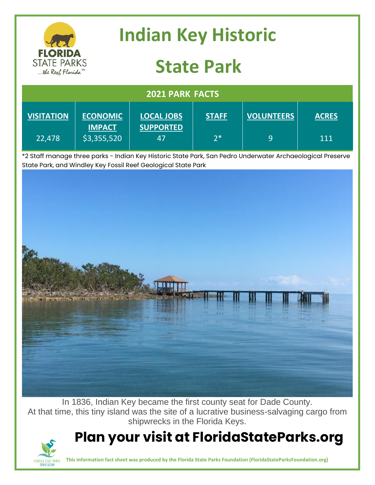

In 1836, Indian Key became the first county seat for Dade County. At that time, this tiny island was the site of a lucrative business-salvaging cargo from shipwrecks in the Florida Keys.

## **Plan your visit at FloridaStateParks.org**



**This information fact sheet was produced by the Florida State Parks Foundation (FloridaStateParksFoundation.org)**